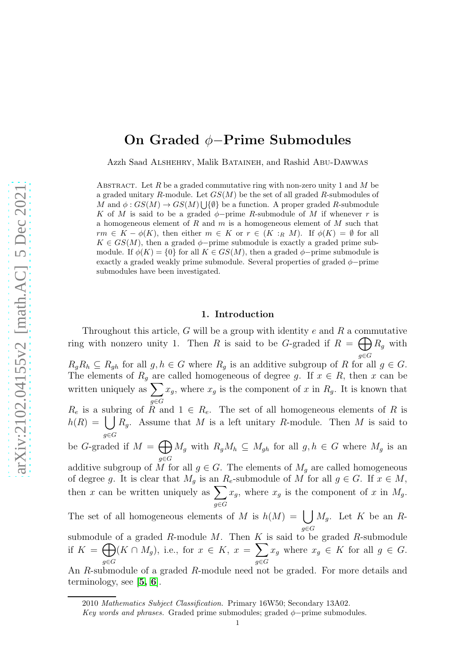# On Graded φ−Prime Submodules

Azzh Saad Alshehry, Malik Bataineh, and Rashid Abu-Dawwas

ABSTRACT. Let R be a graded commutative ring with non-zero unity 1 and M be a graded unitary R-module. Let  $GS(M)$  be the set of all graded R-submodules of M and  $\phi: GS(M) \to GS(M) \cup \{\emptyset\}$  be a function. A proper graded R-submodule K of M is said to be a graded  $\phi$ -prime R-submodule of M if whenever r is a homogeneous element of R and m is a homogeneous element of M such that  $rm \in K - \phi(K)$ , then either  $m \in K$  or  $r \in (K :_R M)$ . If  $\phi(K) = \emptyset$  for all  $K \in GS(M)$ , then a graded  $\phi$ -prime submodule is exactly a graded prime submodule. If  $\phi(K) = \{0\}$  for all  $K \in GS(M)$ , then a graded  $\phi$ -prime submodule is exactly a graded weakly prime submodule. Several properties of graded  $\phi$ −prime submodules have been investigated.

### 1. Introduction

Throughout this article,  $G$  will be a group with identity  $e$  and  $R$  a commutative ring with nonzero unity 1. Then R is said to be G-graded if  $R = \bigoplus R_g$  with g∈G  $R_gR_h \subseteq R_{gh}$  for all  $g, h \in G$  where  $R_g$  is an additive subgroup of R for all  $g \in G$ . The elements of  $R_g$  are called homogeneous of degree g. If  $x \in R$ , then x can be written uniquely as  $\sum$ g∈G  $x_g$ , where  $x_g$  is the component of x in  $R_g$ . It is known that  $R_e$  is a subring of  $R$  and  $1 \in R_e$ . The set of all homogeneous elements of R is  $h(R) = \int R_g$ . Assume that M is a left unitary R-module. Then M is said to g∈G be *G*-graded if  $M = \bigoplus$ g∈G  $M_g$  with  $R_gM_h \subseteq M_{gh}$  for all  $g, h \in G$  where  $M_g$  is an additive subgroup of  $\widetilde{M}$  for all  $g \in G$ . The elements of  $M_g$  are called homogeneous of degree g. It is clear that  $M_g$  is an  $R_e$ -submodule of M for all  $g \in G$ . If  $x \in M$ , then x can be written uniquely as  $\sum$ g∈G  $x_g$ , where  $x_g$  is the component of x in  $M_g$ . The set of all homogeneous elements of M is  $h(M) = |$ g∈G  $M_g$ . Let K be an Rsubmodule of a graded  $R$ -module  $M$ . Then  $K$  is said to be graded  $R$ -submodule if  $K = \bigoplus$ g∈G  $(K \cap M_g)$ , i.e., for  $x \in K$ ,  $x = \sum$ g∈G  $x_g$  where  $x_g \in K$  for all  $g \in G$ . An R-submodule of a graded R-module need not be graded. For more details and

terminology, see  $[5, 6]$  $[5, 6]$  $[5, 6]$  $[5, 6]$ .

<sup>2010</sup> Mathematics Subject Classification. Primary 16W50; Secondary 13A02.

Key words and phrases. Graded prime submodules; graded  $\phi$ -prime submodules.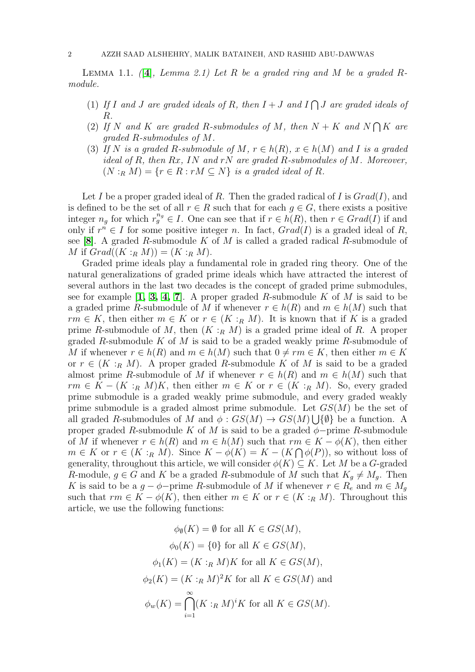Lemma 1.1. *(*[[4](#page-5-0)]*, Lemma 2.1) Let* R *be a graded ring and* M *be a graded* R*module.*

- (1) If I and J are graded ideals of R, then  $I + J$  and  $I \bigcap J$  are graded ideals of R*.*
- (2) If N and K are graded R-submodules of M, then  $N + K$  and  $N \bigcap K$  are *graded* R*-submodules of* M*.*
- (3) *If* N is a graded R-submodule of M,  $r \in h(R)$ ,  $x \in h(M)$  and I is a graded *ideal of* R*, then* Rx*,* IN *and* rN *are graded* R*-submodules of* M*. Moreover,*  $(N:_{R} M) = \{r \in R : rM \subseteq N\}$  *is a graded ideal of R.*

Let I be a proper graded ideal of R. Then the graded radical of I is  $Grad(I)$ , and is defined to be the set of all  $r \in R$  such that for each  $q \in G$ , there exists a positive integer  $n_g$  for which  $r_g^{n_g} \in I$ . One can see that if  $r \in h(R)$ , then  $r \in Grad(I)$  if and only if  $r^n \in I$  for some positive integer n. In fact,  $Grad(I)$  is a graded ideal of R, see [8]. A graded R-submodule  $K$  of  $M$  is called a graded radical R-submodule of M if  $Grad((K:_{R} M)) = (K:_{R} M)$ .

Graded prime ideals play a fundamental role in graded ring theory. One of the natural generalizations of graded prime ideals which have attracted the interest of several authors in the last two decades is the concept of graded prime submodules, see for example  $\left[1, 3, 4, 7\right]$  $\left[1, 3, 4, 7\right]$  $\left[1, 3, 4, 7\right]$  $\left[1, 3, 4, 7\right]$  $\left[1, 3, 4, 7\right]$ . A proper graded R-submodule K of M is said to be a graded prime R-submodule of M if whenever  $r \in h(R)$  and  $m \in h(M)$  such that  $rm \in K$ , then either  $m \in K$  or  $r \in (K :_R M)$ . It is known that if K is a graded prime R-submodule of M, then  $(K :_{R} M)$  is a graded prime ideal of R. A proper graded R-submodule K of M is said to be a graded weakly prime R-submodule of M if whenever  $r \in h(R)$  and  $m \in h(M)$  such that  $0 \neq rm \in K$ , then either  $m \in K$ or  $r \in (K :_R M)$ . A proper graded R-submodule K of M is said to be a graded almost prime R-submodule of M if whenever  $r \in h(R)$  and  $m \in h(M)$  such that  $rm \in K - (K :_R M)K$ , then either  $m \in K$  or  $r \in (K :_R M)$ . So, every graded prime submodule is a graded weakly prime submodule, and every graded weakly prime submodule is a graded almost prime submodule. Let  $GS(M)$  be the set of all graded R-submodules of M and  $\phi$ :  $GS(M) \rightarrow GS(M) \cup \{\emptyset\}$  be a function. A proper graded R-submodule K of M is said to be a graded  $\phi$ -prime R-submodule of M if whenever  $r \in h(R)$  and  $m \in h(M)$  such that  $rm \in K - \phi(K)$ , then either  $m \in K$  or  $r \in (K :_R M)$ . Since  $K - \phi(K) = K - (K \cap \phi(P))$ , so without loss of generality, throughout this article, we will consider  $\phi(K) \subseteq K$ . Let M be a G-graded R-module,  $g \in G$  and K be a graded R-submodule of M such that  $K_q \neq M_q$ . Then K is said to be a  $g - \phi$ -prime R-submodule of M if whenever  $r \in R_e$  and  $m \in M_g$ such that  $rm \in K - \phi(K)$ , then either  $m \in K$  or  $r \in (K :_R M)$ . Throughout this article, we use the following functions:

$$
\phi_{\emptyset}(K) = \emptyset \text{ for all } K \in GS(M),
$$

$$
\phi_0(K) = \{0\} \text{ for all } K \in GS(M),
$$

$$
\phi_1(K) = (K :_R M)K \text{ for all } K \in GS(M),
$$

$$
\phi_2(K) = (K :_R M)^2 K \text{ for all } K \in GS(M) \text{ and}
$$

$$
\phi_w(K) = \bigcap_{i=1}^{\infty} (K :_R M)^i K \text{ for all } K \in GS(M).
$$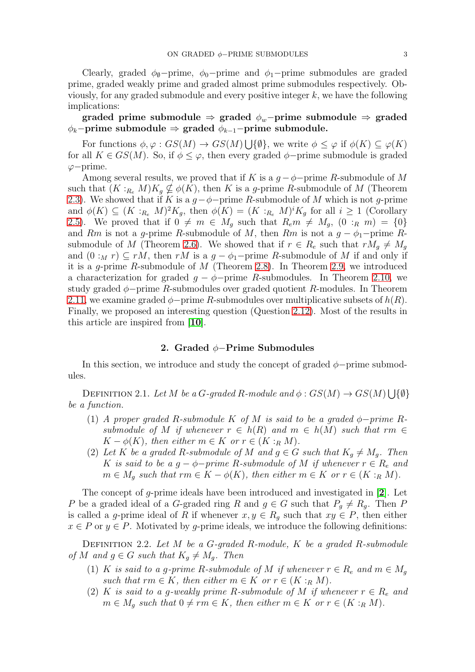Clearly, graded  $\phi_0$ -prime,  $\phi_0$ -prime and  $\phi_1$ -prime submodules are graded prime, graded weakly prime and graded almost prime submodules respectively. Obviously, for any graded submodule and every positive integer  $k$ , we have the following implications:

# graded prime submodule  $\Rightarrow$  graded  $\phi_w$ -prime submodule  $\Rightarrow$  graded  $\phi_k$ −prime submodule  $\Rightarrow$  graded  $\phi_{k-1}$ −prime submodule.

For functions  $\phi, \varphi : GS(M) \to GS(M) \bigcup \{\emptyset\}$ , we write  $\phi \leq \varphi$  if  $\phi(K) \subseteq \varphi(K)$ for all  $K \in GS(M)$ . So, if  $\phi \leq \varphi$ , then every graded  $\phi$ -prime submodule is graded ϕ−prime.

Among several results, we proved that if K is a  $g - \phi$ -prime R-submodule of M such that  $(K :_{R_{e}} M)K_{q} \nsubseteq \phi(K)$ , then K is a g-prime R-submodule of M (Theorem [2.3\)](#page-3-0). We showed that if K is a  $g-\phi$ -prime R-submodule of M which is not g-prime and  $\phi(K) \subseteq (K :_{R_e} M)^2 K_g$ , then  $\phi(K) = (K :_{R_e} M)^i K_g$  for all  $i \geq 1$  (Corollary [2.5\)](#page-3-1). We proved that if  $0 \neq m \in M_q$  such that  $R_e m \neq M_q$ ,  $(0 :_R m) = \{0\}$ and Rm is not a g-prime R-submodule of M, then Rm is not a  $g - \phi_1$ -prime R-submodule of M (Theorem [2.6\)](#page-3-2). We showed that if  $r \in R_e$  such that  $rM_q \neq M_q$ and  $(0:_{M} r) \subseteq rM$ , then  $rM$  is a  $g - \phi_1$ -prime R-submodule of M if and only if it is a g-prime R-submodule of  $M$  (Theorem [2.8\)](#page-3-3). In Theorem [2.9,](#page-4-0) we introduced a characterization for graded  $g - \phi$ -prime R-submodules. In Theorem [2.10,](#page-4-1) we study graded  $\phi$ -prime R-submodules over graded quotient R-modules. In Theorem [2.11,](#page-5-2) we examine graded  $\phi$ -prime R-submodules over multiplicative subsets of  $h(R)$ . Finally, we proposed an interesting question (Question [2.12\)](#page-5-3). Most of the results in this article are inspired from [[10](#page-6-3)].

#### 2. Graded φ−Prime Submodules

In this section, we introduce and study the concept of graded  $\phi$ -prime submodules.

DEFINITION 2.1. *Let M be a G-graded R-module and*  $\phi$  :  $GS(M) \rightarrow GS(M) \cup \{\emptyset\}$ *be a function.*

- (1) *A* proper graded R-submodule K of M is said to be a graded  $\phi$ -prime R*submodule of* M *if whenever*  $r \in h(R)$  *and*  $m \in h(M)$  *such that*  $rm \in$  $K - \phi(K)$ , then either  $m \in K$  or  $r \in (K :_R M)$ .
- (2) Let K be a graded R-submodule of M and  $g \in G$  such that  $K_q \neq M_q$ . Then K is said to be a  $g - \phi$ -prime R-submodule of M if whenever  $r \in R_e$  and  $m \in M_q$  such that  $rm \in K - \phi(K)$ , then either  $m \in K$  or  $r \in (K :_R M)$ .

The concept of g-prime ideals have been introduced and investigated in [2]. Let P be a graded ideal of a G-graded ring R and  $g \in G$  such that  $P_g \neq R_g$ . Then P is called a g-prime ideal of R if whenever  $x, y \in R_g$  such that  $xy \in P$ , then either  $x \in P$  or  $y \in P$ . Motivated by g-prime ideals, we introduce the following definitions:

Definition 2.2. *Let* M *be a* G*-graded* R*-module,* K *be a graded* R*-submodule of* M and  $g \in G$  *such that*  $K_q \neq M_q$ . Then

- (1) K *is said to a g-prime R-submodule of* M *if whenever*  $r \in R_e$  *and*  $m \in M_g$ *such that*  $rm \in K$ *, then either*  $m \in K$  *or*  $r \in (K :_R M)$ *.*
- (2) K *is said to a g-weakly prime R-submodule of* M *if whenever*  $r \in R_e$  and  $m \in M_q$  such that  $0 \neq rm \in K$ , then either  $m \in K$  or  $r \in (K :_R M)$ .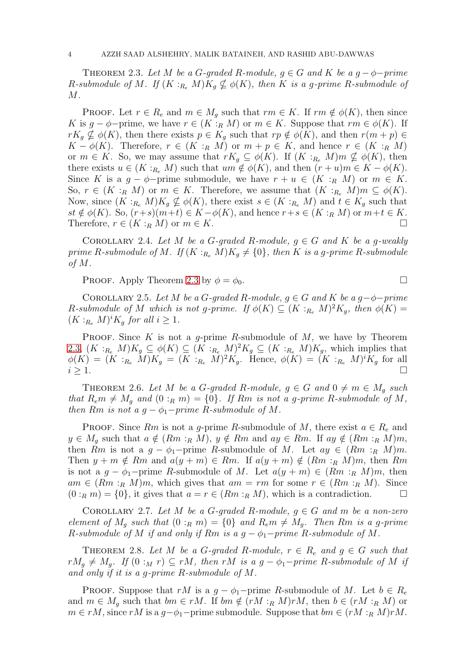<span id="page-3-0"></span>THEOREM 2.3. Let M be a G-graded R-module,  $q \in G$  and K be a  $q - \phi$ -prime *R*-submodule of M. If  $(K :_{R_e} M)K_g \nsubseteq \phi(K)$ , then K is a g-prime R-submodule of M*.*

**PROOF.** Let  $r \in R_e$  and  $m \in M_q$  such that  $rm \in K$ . If  $rm \notin \phi(K)$ , then since K is  $g - \phi$ -prime, we have  $r \in (K :_R M)$  or  $m \in K$ . Suppose that  $rm \in \phi(K)$ . If  $rK_q \nsubseteq \phi(K)$ , then there exists  $p \in K_q$  such that  $rp \notin \phi(K)$ , and then  $r(m + p) \in$  $K - \phi(K)$ . Therefore,  $r \in (K :_R M)$  or  $m + p \in K$ , and hence  $r \in (K :_R M)$ or  $m \in K$ . So, we may assume that  $rK_q \subseteq \phi(K)$ . If  $(K :_{R_e} M)m \nsubseteq \phi(K)$ , then there exists  $u \in (K :_{R_e} M)$  such that  $um \notin \phi(K)$ , and then  $(r+u)m \in K - \phi(K)$ . Since K is a  $g - \phi$ -prime submodule, we have  $r + u \in (K :_R M)$  or  $m \in K$ . So,  $r \in (K :_R M)$  or  $m \in K$ . Therefore, we assume that  $(K :_{R_e} M)m \subseteq \phi(K)$ . Now, since  $(K:_{R_e} M)K_g \nsubseteq \phi(K)$ , there exist  $s \in (K:_{R_e} M)$  and  $t \in K_g$  such that  $st \notin \phi(K)$ . So,  $(r+s)(m+t) \in K - \phi(K)$ , and hence  $r+s \in (K :_R M)$  or  $m+t \in K$ . Therefore,  $r \in (K :_R M)$  or  $m \in K$ .

COROLLARY 2.4. Let M be a G-graded R-module,  $g \in G$  and K be a g-weakly *prime* R-submodule of M. If  $(K :_{R_e} M)K_q \neq \{0\}$ , then K is a g-prime R-submodule *of* M*.*

**PROOF.** Apply Theorem [2.3](#page-3-0) by  $\phi = \phi_0$ .

<span id="page-3-1"></span>COROLLARY 2.5. Let M be a G-graded R-module,  $g \in G$  and K be a  $g - \phi - prime$  $R$ -submodule of M which is not g-prime. If  $\phi(K) \subseteq (K :_{R_e} M)^2 K_g$ , then  $\phi(K) =$  $(K:_{R_e} M)^i K_g$  *for all*  $i \geq 1$ *.* 

**PROOF.** Since K is not a q-prime R-submodule of M, we have by Theorem [2.3,](#page-3-0)  $(K:_{R_e} M)K_g \subseteq \phi(K) \subseteq (K:_{R_e} M)^2K_g \subseteq (K:_{R_e} M)K_g$ , which implies that  $\phi(K) = (K :_{R_e} M)K_g = (K :_{R_e} M)^2 K_g$ . Hence,  $\phi(K) = (K :_{R_e} M)^i K_g$  for all  $i \geq 1$ .

<span id="page-3-2"></span>THEOREM 2.6. Let M be a G-graded R-module,  $g \in G$  and  $0 \neq m \in M_q$  such *that*  $R_e m \neq M_q$  *and*  $(0 :_R m) = \{0\}$ *. If*  $Rm$  *is not a g-prime*  $R$ *-submodule of*  $M$ *, then*  $Rm$  *is not a*  $g - \phi_1$ -*prime*  $R$ -*submodule of*  $M$ *.* 

PROOF. Since Rm is not a g-prime R-submodule of M, there exist  $a \in R_e$  and  $y \in M_q$  such that  $a \notin (Rm :_R M), y \notin Rm$  and  $ay \in Rm$ . If  $ay \notin (Rm :_R M)m$ , then Rm is not a  $g - \phi_1$ -prime R-submodule of M. Let  $ay \in (Rm :_R M)m$ . Then  $y + m \notin Rm$  and  $a(y + m) \in Rm$ . If  $a(y + m) \notin (Rm :_R M)m$ , then Rm is not a  $g - \phi_1$ -prime R-submodule of M. Let  $a(y + m) \in (Rm :_R M)m$ , then  $am \in (Rm :_R M)m$ , which gives that  $am = rm$  for some  $r \in (Rm :_R M)$ . Since  $(0:_{R} m) = \{0\}$ , it gives that  $a = r \in (Rm :_{R} M)$ , which is a contradiction.

COROLLARY 2.7. Let M be a G-graded R-module,  $g \in G$  and m be a non-zero *element of*  $M_q$  *such that*  $(0 :_R m) = \{0\}$  *and*  $R_e m \neq M_q$ *. Then* Rm *is a g-prime* R-submodule of M if and only if Rm is a  $g - \phi_1$ -prime R-submodule of M.

<span id="page-3-3"></span>THEOREM 2.8. Let M be a G-graded R-module,  $r \in R_e$  and  $g \in G$  such that  $rM_q \neq M_q$ . If  $(0 :_M r) \subseteq rM$ , then rM is a  $q - \phi_1$ -prime R-submodule of M if *and only if it is a* g*-prime* R*-submodule of* M*.*

PROOF. Suppose that rM is a  $q - \phi_1$ -prime R-submodule of M. Let  $b \in R_e$ and  $m \in M_q$  such that  $bm \in rM$ . If  $bm \notin (rM :_R M)rM$ , then  $b \in (rM :_R M)$  or  $m \in rM$ , since  $rM$  is a  $g-\phi_1$ -prime submodule. Suppose that  $bm \in (rM :_R M)rM$ .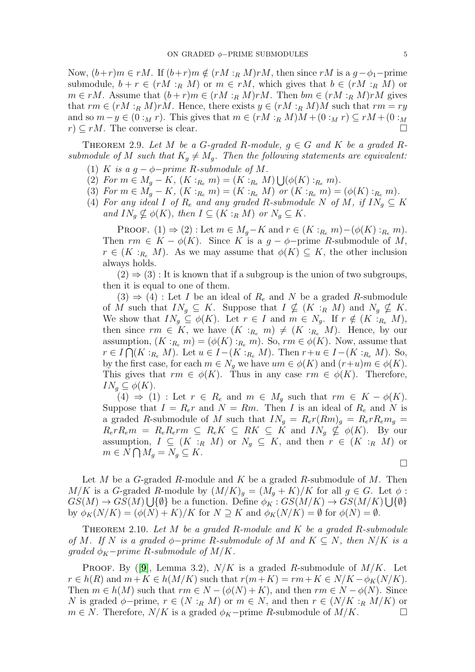Now,  $(b+r)m \in rM$ . If  $(b+r)m \notin (rM :_R M)rM$ , then since rM is a  $g-\phi_1$ -prime submodule,  $b + r \in (rM :_R M)$  or  $m \in rM$ , which gives that  $b \in (rM :_R M)$  or  $m \in rM$ . Assume that  $(b+r)m \in (rM :_R M)rM$ . Then  $bm \in (rM :_R M)rM$  gives that  $rm \in (rM :_{R} M)rM$ . Hence, there exists  $y \in (rM :_{R} M)M$  such that  $rm = ry$ and so  $m-y \in (0:_{M} r)$ . This gives that  $m \in (rM :_{R} M)M + (0:_{M} r) \subseteq rM + (0:_{M} r)$  $r \geq rM$ . The converse is clear.

<span id="page-4-0"></span>THEOREM 2.9. Let M be a G-graded R-module,  $q \in G$  and K be a graded R*submodule of* M *such that*  $K_q \neq M_q$ . Then the following statements are equivalent:

- (1) K is a  $g \phi$ -prime R-submodule of M.
- (2) For  $m \in M_g K$ ,  $(K :_{R_e} m) = (K :_{R_e} M) \bigcup (\phi(K) :_{R_e} m)$ .
- (3) For  $m \in M_g K$ ,  $(K :_{R_e} m) = (K :_{R_e} M)$  or  $(K :_{R_e} m) = (\phi(K) :_{R_e} m)$ .
- (4) For any ideal I of  $R_e$  and any graded R-submodule N of M, if  $IN_q \subseteq K$ *and*  $IN_q \nsubseteq \phi(K)$ *, then*  $I \subseteq (K :_R M)$  *or*  $N_q \subseteq K$ *.*

PROOF.  $(1) \Rightarrow (2)$ : Let  $m \in M_q-K$  and  $r \in (K :_{R_e} m) - (\phi(K) :_{R_e} m)$ . Then  $rm \in K - \phi(K)$ . Since K is a  $g - \phi$ -prime R-submodule of M,  $r \in (K :_{R_e} M)$ . As we may assume that  $\phi(K) \subseteq K$ , the other inclusion always holds.

 $(2) \Rightarrow (3)$ : It is known that if a subgroup is the union of two subgroups, then it is equal to one of them.

 $(3) \Rightarrow (4)$ : Let I be an ideal of  $R_e$  and N be a graded R-submodule of M such that  $IN_g \subseteq K$ . Suppose that  $I \nsubseteq (K :_R M)$  and  $N_g \nsubseteq K$ . We show that  $IN_q \subseteq \phi(K)$ . Let  $r \in I$  and  $m \in N_g$ . If  $r \notin (K :_{R_e} M)$ , then since  $rm \in K$ , we have  $(K :_{R_e} m) \neq (K :_{R_e} M)$ . Hence, by our assumption,  $(K:_{R_e} m) = (\phi(K):_{R_e} m)$ . So,  $rm \in \phi(K)$ . Now, assume that  $r \in I \bigcap (K :_{R_e} M)$ . Let  $u \in I-(K :_{R_e} M)$ . Then  $r+u \in I-(K :_{R_e} M)$ . So, by the first case, for each  $m \in N_q$  we have  $um \in \phi(K)$  and  $(r+u)m \in \phi(K)$ . This gives that  $rm \in \phi(K)$ . Thus in any case  $rm \in \phi(K)$ . Therefore,  $IN_q \subseteq \phi(K)$ .

(4)  $\Rightarrow$  (1) : Let  $r \in R_e$  and  $m \in M_g$  such that  $rm \in K - \phi(K)$ . Suppose that  $I = R_e r$  and  $N = Rm$ . Then I is an ideal of  $R_e$  and N is a graded R-submodule of M such that  $IN_g = R_e r(Rm)g = R_e rR_e m_g =$  $R_e r R_e m = R_e R_e r m \subseteq R_e K \subseteq R K \subseteq K$  and  $I N_g \nsubseteq \phi(K)$ . By our assumption,  $I \subseteq (K :_R M)$  or  $N_q \subseteq K$ , and then  $r \in (K :_R M)$  or  $m \in N \bigcap M_g = N_g \subseteq K.$ 

 $\Box$ 

Let  $M$  be a  $G$ -graded  $R$ -module and  $K$  be a graded  $R$ -submodule of  $M$ . Then  $M/K$  is a G-graded R-module by  $(M/K)_{q} = (M_{q} + K)/K$  for all  $q \in G$ . Let  $\phi$ :  $GS(M) \to GS(M) \bigcup {\emptyset}$  be a function. Define  $\phi_K : GS(M/K) \to GS(M/K) \bigcup {\emptyset}$ by  $\phi_K(N/K) = (\phi(N) + K)/K$  for  $N \supseteq K$  and  $\phi_K(N/K) = \emptyset$  for  $\phi(N) = \emptyset$ .

<span id="page-4-1"></span>Theorem 2.10. *Let* M *be a graded* R*-module and* K *be a graded* R*-submodule of* M. If N is a graded  $\phi$ −*prime* R-submodule of M and  $K ⊆ N$ , then N/K is a *graded*  $\phi_K$ *-prime* R-submodule of M/K.

**PROOF.** By ([[9](#page-6-4)], Lemma 3.2),  $N/K$  is a graded R-submodule of  $M/K$ . Let  $r \in h(R)$  and  $m+K \in h(M/K)$  such that  $r(m+K) = rm+K \in N/K - \phi_K(N/K)$ . Then  $m \in h(M)$  such that  $rm \in N - (\phi(N) + K)$ , and then  $rm \in N - \phi(N)$ . Since N is graded  $\phi$ -prime,  $r \in (N :_{R} M)$  or  $m \in N$ , and then  $r \in (N/K :_{R} M/K)$  or  $m \in N$ . Therefore,  $N/K$  is a graded  $\phi_K$ -prime R-submodule of  $M/K$ .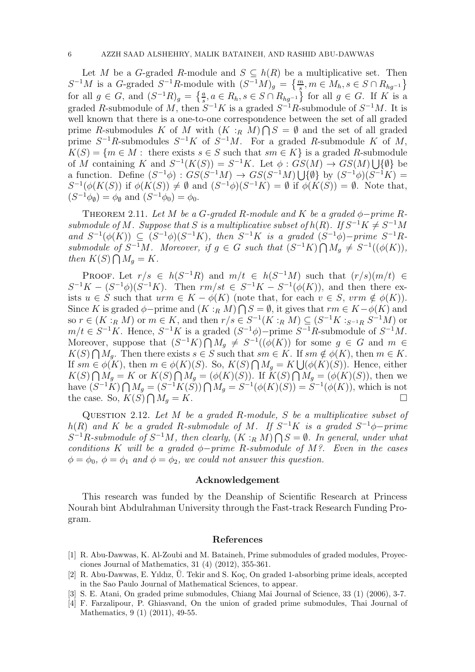Let M be a G-graded R-module and  $S \subseteq h(R)$  be a multiplicative set. Then  $S^{-1}M$  is a G-graded  $S^{-1}R$ -module with  $(S^{-1}M)_g = \left\{\frac{m}{s}, m \in M_h, s \in S \cap R_{hg^{-1}}\right\}$ for all  $g \in G$ , and  $(S^{-1}R)_{g} = \left\{\frac{a}{s}, a \in R_h, s \in S \cap R_{hg^{-1}}\right\}$  for all  $g \in G$ . If K is a graded R-submodule of M, then  $S^{-1}K$  is a graded  $S^{-1}R$ -submodule of  $S^{-1}M$ . It is well known that there is a one-to-one correspondence between the set of all graded prime R-submodules K of M with  $(K:_{R} M)\bigcap S=\emptyset$  and the set of all graded prime  $S^{-1}R$ -submodules  $S^{-1}K$  of  $S^{-1}M$ . For a graded R-submodule K of M,  $K(S) = \{m \in M : \text{ there exists } s \in S \text{ such that } sm \in K\}$  is a graded R-submodule of M containing K and  $S^{-1}(K(S)) = S^{-1}K$ . Let  $\phi : G(S(M) \to G(S(M)) \cup \{\emptyset\}$  be a function. Define  $(S^{-1}\phi) : G\dot{S}(S^{-1}M) \to G\dot{S}(S^{-1}M) \cup \{\emptyset\}$  by  $(S^{-1}\phi)(S^{-1}K) =$  $S^{-1}(\phi(K(S))$  if  $\phi(K(S)) \neq \emptyset$  and  $(S^{-1}\phi)(S^{-1}K) = \emptyset$  if  $\phi(K(S)) = \emptyset$ . Note that,  $(S^{-1}\phi_{\emptyset}) = \phi_{\emptyset}$  and  $(S^{-1}\phi_{0}) = \phi_{0}$ .

<span id="page-5-2"></span>THEOREM 2.11. Let M be a G-graded R-module and K be a graded  $\phi$ -prime R*submodule of* M. Suppose that S is a multiplicative subset of  $h(R)$ . If  $S^{-1}K \neq S^{-1}M$  $and S^{-1}(\phi(K)) \subseteq (S^{-1}\phi)(S^{-1}K)$ , then  $S^{-1}K$  *is a graded*  $(S^{-1}\phi)$ -*prime*  $S^{-1}R$ *submodule of*  $S^{-1}M$ *. Moreover, if*  $g \in G$  *such that*  $(S^{-1}K) \cap M_g \neq S^{-1}((\phi(K)),$ then  $K(S) \bigcap M_g = K$ .

PROOF. Let  $r/s \in h(S^{-1}R)$  and  $m/t \in h(S^{-1}M)$  such that  $(r/s)(m/t) \in$  $S^{-1}K - (S^{-1}\phi)(S^{-1}K)$ . Then  $rm/st \in S^{-1}K - S^{-1}(\phi(K))$ , and then there exists  $u \in S$  such that  $urm \in K - \phi(K)$  (note that, for each  $v \in S$ ,  $vrm \notin \phi(K)$ ). Since K is graded  $\phi$ -prime and  $(K:_{R} M) \cap S = \emptyset$ , it gives that  $rm \in K - \phi(K)$  and so  $r \in (K :_R M)$  or  $m \in K$ , and then  $r/s \in S^{-1}(K :_R M) \subseteq (S^{-1}K :_{S^{-1}R} S^{-1}M)$  or  $m/t \in S^{-1}K$ . Hence,  $S^{-1}K$  is a graded  $(S^{-1}\phi)$ -prime  $S^{-1}R$ -submodule of  $S^{-1}M$ . Moreover, suppose that  $(S^{-1}K)\bigcap M_g \neq S^{-1}((\phi(K))$  for some  $g \in G$  and  $m \in$  $K(S) \bigcap M_g$ . Then there exists  $s \in S$  such that  $sm \in K$ . If  $sm \notin \phi(K)$ , then  $m \in K$ . If  $sm \in \phi(K)$ , then  $m \in \phi(K)(S)$ . So,  $K(S) \bigcap M_g = K \bigcup (\phi(K)(S))$ . Hence, either  $K(S) \bigcap M_g = K$  or  $K(S) \bigcap M_g = (\phi(K)(S))$ . If  $K(S) \bigcap M_g = (\phi(K)(S))$ , then we have  $(S^{-1}K)\bigcap M_g = (S^{-1}K(S))\bigcap M_g = S^{-1}(\phi(K)(S)) = S^{-1}(\phi(K))$ , which is not the case. So,  $K(S) \bigcap$  $M_g = K$ .

<span id="page-5-3"></span>Question 2.12. *Let* M *be a graded* R*-module,* S *be a multiplicative subset of*  $h(R)$  and K be a graded R-submodule of M. If  $S^{-1}K$  is a graded  $S^{-1}\phi$ -prime  $S^{-1}\hat{R}$ -submodule of  $S^{-1}M$ , then clearly,  $(K:_{R} M)\bigcap S=\emptyset$ . In general, under what *conditions* K *will be a graded* φ−*prime* R*-submodule of* M*?. Even in the cases*  $\phi = \phi_0, \ \phi = \phi_1$  *and*  $\phi = \phi_2$ *, we could not answer this question.* 

## Acknowledgement

This research was funded by the Deanship of Scientific Research at Princess Nourah bint Abdulrahman University through the Fast-track Research Funding Program.

#### References

- [1] R. Abu-Dawwas, K. Al-Zoubi and M. Bataineh, Prime submodules of graded modules, Proyecciones Journal of Mathematics, 31 (4) (2012), 355-361.
- $[2]$  R. Abu-Dawwas, E. Yıldız, Ü. Tekir and S. Koç, On graded 1-absorbing prime ideals, accepted in the Sao Paulo Journal of Mathematical Sciences, to appear.
- <span id="page-5-1"></span><span id="page-5-0"></span>[3] S. E. Atani, On graded prime submodules, Chiang Mai Journal of Science, 33 (1) (2006), 3-7.
- [4] F. Farzalipour, P. Ghiasvand, On the union of graded prime submodules, Thai Journal of Mathematics, 9 (1) (2011), 49-55.